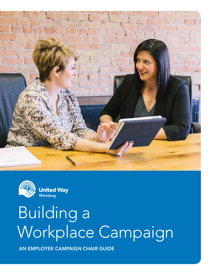



# Building a Workplace Campaign

AN EMPLOYEE CAMPAIGN CHAIR GUIDE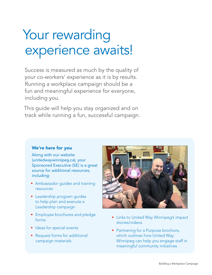## Your rewarding experience awaits!

Success is measured as much by the quality of your co-workers' experience as it is by results. Running a workplace campaign should be a fun and meaningful experience for everyone, including you.

This guide will help you stay organized and on track while running a fun, successful campaign.

#### We're here for you

Along with our website (unitedwaywinnipeg.ca), your Sponsored Executive (SE) is a great source for additional resources, including:

- Ambassador guides and training resources
- Leadership program guides to help plan and execute a Leadership campaign
- Employee brochures and pledge forms
- Ideas for special events
- Request forms for additional campaign materials



- Links to United Way Winnipeg's impact stories/videos
- Partnering for a Purpose brochure, which outlines how United Way Winnipeg can help you engage staff in meaningful community initiatives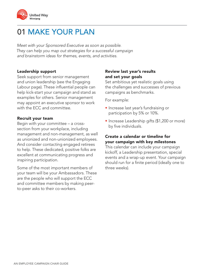

## 01 MAKE YOUR PLAN

Meet with your Sponsored Executive as soon as possible. They can help you map out strategies for a successful campaign and brainstorm ideas for themes, events, and activities.

#### Leadership support

Seek support from senior management and union leadership (see the Engaging Labour page). These influential people can help kick-start your campaign and stand as examples for others. Senior management may appoint an executive sponsor to work with the ECC and committee.

#### Recruit your team

Begin with your committee – a crosssection from your workplace, including management and non-management, as well as unionized and non-unionized employees. And consider contacting engaged retirees to help. These dedicated, positive folks are excellent at communicating progress and inspiring participation.

Some of the most important members of your team will be your Ambassadors. These are the people who will support the ECC and committee members by making peerto-peer asks to their co-workers.

#### Review last year's results and set your goals

Set ambitious yet realistic goals using the challenges and successes of previous campaigns as benchmarks.

For example:

- Increase last year's fundraising or participation by 5% or 10%.
- Increase Leadership gifts (\$1,200 or more) by five individuals.

#### Create a calendar or timeline for your campaign with key milestones

This calendar can include your campaign kickoff, a Leadership presentation, special events and a wrap-up event. Your campaign should run for a finite period (ideally one to three weeks).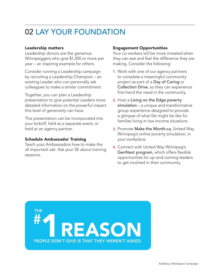## 02 LAY YOUR FOUNDATION

#### Leadership matters

Leadership donors are the generous Winnipeggers who give \$1,200 or more per year – an inspiring example for others.

Consider running a Leadership campaign by recruiting a Leadership Champion – an existing Leader who can personally ask colleagues to make a similar commitment.

Together, you can plan a Leadership presentation to give potential Leaders more detailed information on the powerful impact this level of generosity can have.

This presentation can be incorporated into your kickoff, held as a separate event, or held at an agency partner.

#### Schedule Ambassador Training

Teach your Ambassadors how to make the all important ask. Ask your SE about training sessions.

#### Engagement Opportunities

Your co-workers will be more invested when they can see and feel the difference they are making. Consider the following:

- 1. Work with one of our agency partners to complete a meaningful community project as part of a Day of Caring or Collection Drive, so they can experience first-hand the need in the community.
- 2. Host a Living on the Edge poverty simulation - a unique and transformative group experience designed to provide a glimpse of what life might be like for families living in low-income situations.
- **3.** Promote Make the Month.ca, United Way Winnipeg's online poverty simulation, in your workplace.
- 4. Connect with United Way Winnipeg's GenNext program, which offers flexible opportunities for up-and-coming leaders to get involved in their community.

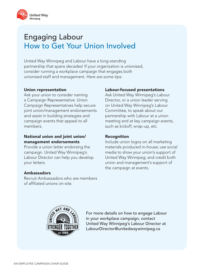

## Engaging Labour How to Get Your Union Involved

United Way Winnipeg and Labour have a long-standing partnership that spans decades! If your organization is unionized, consider running a workplace campaign that engages both unionized staff and management. Here are some tips:

#### Union representation

Ask your union to consider naming a Campaign Representative. Union Campaign Representatives help secure joint union/management endorsements and assist in building strategies and campaign events that appeal to all members.

#### National union and joint union/ management endorsements

Provide a union letter endorsing the campaign. United Way Winnipeg's Labour Director can help you develop your letters.

#### Ambassadors

Recruit Ambassadors who are members of affiliated unions on-site.

#### Labour-focused presentations

Ask United Way Winnipeg's Labour Director, or a union leader serving on United Way Winnipeg's Labour Committee, to speak about our partnership with Labour at a union meeting and at key campaign events, such as kickoff, wrap-up, etc.

#### Recognition

Include union logos on all marketing materials produced in-house; use social media to show your union's support of United Way Winnipeg; and credit both union and management's support of the campaign at events.



For more details on how to engage Labour in your workplace campaign, contact United Way Winnipeg's Labour Director at LabourDirector@unitedwaywinnipeg.ca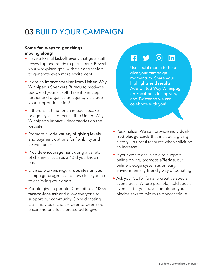## 03 BUILD YOUR CAMPAIGN

#### Some fun ways to get things moving along!

- Have a formal kickoff event that gets staff revved up and ready to participate. Reveal your workplace goal with flair and fanfare to generate even more excitement.
- Invite an impact speaker from United Way Winnipeg's Speakers Bureau to motivate people at your kickoff. Take it one step further and organize an agency visit. See your support in action!
- If there isn't time for an impact speaker or agency visit, direct staff to United Way Winnipeg's impact videos/stories on the website.
- Promote a wide variety of giving levels and payment options for flexibility and convenience.
- Provide **encouragement** using a variety of channels, such as a "Did you know?" email.
- Give co-workers regular updates on your campaign progress and how close you are to achieving your goals.
- People give to people. Commit to a 100% face-to-face ask and allow everyone to support our community. Since donating is an individual choice, peer-to-peer asks ensure no one feels pressured to give.

#### l fl  $[O]$ linl

Use social media to help give your campaign momentum. Share your highlights and results. Add United Way Winnipeg on Facebook, Instagram, and Twitter so we can celebrate with you!

- Personalize! We can provide individualized pledge cards that include a giving history – a useful resource when soliciting an increase.
- If your workplace is able to support online giving, promote ePledge, our online pledge system as an easy, environmentally-friendly way of donating.
- Ask your SE for fun and creative special event ideas. Where possible, hold special events after you have completed your pledge asks to minimize donor fatigue.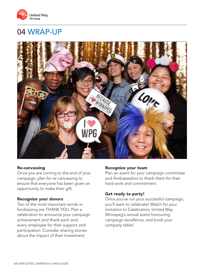

### 04 WRAP-UP



#### Re-canvassing

Once you are coming to the end of your campaign, plan for re-canvassing to ensure that everyone has been given an opportunity to make their gift.

#### Recognize your donors

Two of the most important words in fundraising are THANK YOU. Plan a celebration to announce your campaign achievement and thank each and every employee for their support and participation. Consider sharing stories about the impact of their investment.

#### Recognize your team

Plan an event for your campaign committee and Ambassadors to thank them for their hard work and commitment.

#### Get ready to party!

Once you've run your successful campaign, you'll want to celebrate! Watch for your invitation to Celebration, United Way Winnipeg's annual event honouring campaign excellence, and book your company table!